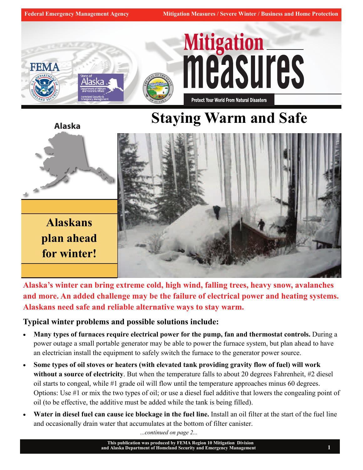

## **Staying Warm and Safe**



**Alaska's winter can bring extreme cold, high wind, falling trees, heavy snow, avalanches and more. An added challenge may be the failure of electrical power and heating systems. Alaskans need safe and reliable alternative ways to stay warm.** 

**Typical winter problems and possible solutions include:**

- **Many types of furnaces require electrical power for the pump, fan and thermostat controls.** During a power outage a small portable generator may be able to power the furnace system, but plan ahead to have an electrician install the equipment to safely switch the furnace to the generator power source.
- **Some types of oil stoves or heaters (with elevated tank providing gravity flow of fuel) will work without a source of electricity**. But when the temperature falls to about 20 degrees Fahrenheit, #2 diesel oil starts to congeal, while #1 grade oil will flow until the temperature approaches minus 60 degrees. Options: Use #1 or mix the two types of oil; or use a diesel fuel additive that lowers the congealing point of oil (to be effective, the additive must be added while the tank is being filled).
- **Water in diesel fuel can cause ice blockage in the fuel line.** Install an oil filter at the start of the fuel line and occasionally drain water that accumulates at the bottom of filter canister.

*...continued on page 2...*